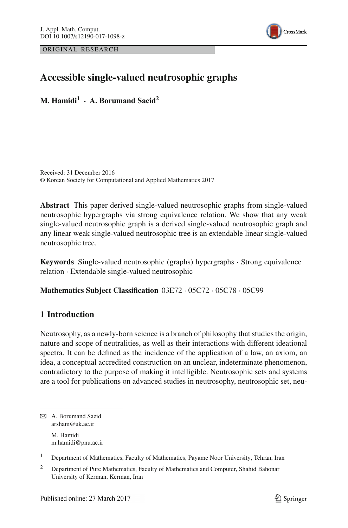ORIGINAL RESEARCH



# **Accessible single-valued neutrosophic graphs**

**M. Hamidi<sup>1</sup> · A. Borumand Saeid2**

Received: 31 December 2016 © Korean Society for Computational and Applied Mathematics 2017

**Abstract** This paper derived single-valued neutrosophic graphs from single-valued neutrosophic hypergraphs via strong equivalence relation. We show that any weak single-valued neutrosophic graph is a derived single-valued neutrosophic graph and any linear weak single-valued neutrosophic tree is an extendable linear single-valued neutrosophic tree.

**Keywords** Single-valued neutrosophic (graphs) hypergraphs · Strong equivalence relation · Extendable single-valued neutrosophic

**Mathematics Subject Classification** 03E72 · 05C72 · 05C78 · 05C99

## **1 Introduction**

Neutrosophy, as a newly-born science is a branch of philosophy that studies the origin, nature and scope of neutralities, as well as their interactions with different ideational spectra. It can be defined as the incidence of the application of a law, an axiom, an idea, a conceptual accredited construction on an unclear, indeterminate phenomenon, contradictory to the purpose of making it intelligible. Neutrosophic sets and systems are a tool for publications on advanced studies in neutrosophy, neutrosophic set, neu-

B A. Borumand Saeid arsham@uk.ac.ir M. Hamidi m.hamidi@pnu.ac.ir

<sup>1</sup> Department of Mathematics, Faculty of Mathematics, Payame Noor University, Tehran, Iran

<sup>&</sup>lt;sup>2</sup> Department of Pure Mathematics, Faculty of Mathematics and Computer, Shahid Bahonar University of Kerman, Kerman, Iran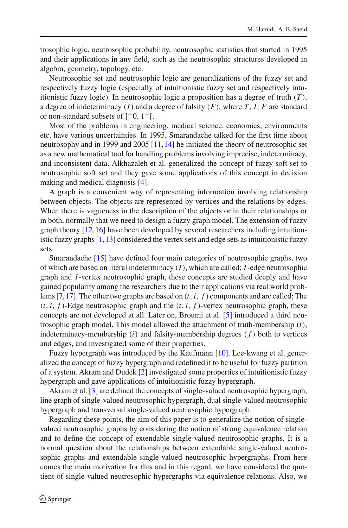trosophic logic, neutrosophic probability, neutrosophic statistics that started in 1995 and their applications in any field, such as the neutrosophic structures developed in algebra, geometry, topology, etc.

Neutrosophic set and neutrosophic logic are generalizations of the fuzzy set and respectively fuzzy logic (especially of intuitionistic fuzzy set and respectively intuitionistic fuzzy logic). In neutrosophic logic a proposition has a degree of truth (*T* ), a degree of indeterminacy  $(I)$  and a degree of falsity  $(F)$ , where  $T$ ,  $I$ ,  $F$  are standard or non-standard subsets of  $]$ <sup>-0</sup>,  $1$ <sup>+</sup>[.

Most of the problems in engineering, medical science, economics, environments etc. have various uncertainties. In 1995, Smarandache talked for the first time about neutrosophy and in 1999 and 2005 [\[11](#page-25-0)[,14](#page-25-1)] he initiated the theory of neutrosophic set as a new mathematical tool for handling problems involving imprecise, indeterminacy, and inconsistent data. Alkhazaleh et al. generalized the concept of fuzzy soft set to neutrosophic soft set and they gave some applications of this concept in decision making and medical diagnosis [\[4](#page-25-2)].

A graph is a convenient way of representing information involving relationship between objects. The objects are represented by vertices and the relations by edges. When there is vagueness in the description of the objects or in their relationships or in both, normally that we need to design a fuzzy graph model. The extension of fuzzy graph theory [\[12](#page-25-3)[,16](#page-25-4)] have been developed by several researchers including intuitionistic fuzzy graphs [\[1,](#page-25-5)[13\]](#page-25-6) considered the vertex sets and edge sets as intuitionistic fuzzy sets.

Smarandache [\[15\]](#page-25-7) have defined four main categories of neutrosophic graphs, two of which are based on literal indeterminacy (*I*), which are called; *I*-edge neutrosophic graph and *I*-vertex neutrosophic graph, these concepts are studied deeply and have gained popularity among the researchers due to their applications via real world problems [\[7](#page-25-8),[17\]](#page-25-9). The other two graphs are based on (*t*,*i*, *f* ) components and are called; The  $(t, i, f)$ -Edge neutrosophic graph and the  $(t, i, f)$ -vertex neutrosophic graph, these concepts are not developed at all. Later on, Broumi et al. [\[5](#page-25-10)] introduced a third neutrosophic graph model. This model allowed the attachment of truth-membership (*t*), indeterminacy-membership (*i*) and falsity-membership degrees ( *f* ) both to vertices and edges, and investigated some of their properties.

Fuzzy hypergraph was introduced by the Kaufmann [\[10](#page-25-11)]. Lee-kwang et al. generalized the concept of fuzzy hypergraph and redefined it to be useful for fuzzy partition of a system. Akram and Dudek [\[2](#page-25-12)] investigated some properties of intuitionistic fuzzy hypergraph and gave applications of intuitionistic fuzzy hypergraph.

Akram et al. [\[3\]](#page-25-13) are defined the concepts of single-valued neutrosophic hypergraph, line graph of single-valued neutrosophic hypergraph, dual single-valued neutrosophic hypergraph and transversal single-valued neutrosophic hypergraph.

Regarding these points, the aim of this paper is to generalize the notion of singlevalued neutrosophic graphs by considering the notion of strong equivalence relation and to define the concept of extendable single-valued neutrosophic graphs. It is a normal question about the relationships between extendable single-valued neutrosophic graphs and extendable single-valued neutrosophic hypergraphs. From here comes the main motivation for this and in this regard, we have considered the quotient of single-valued neutrosophic hypergraphs via equivalence relations. Also, we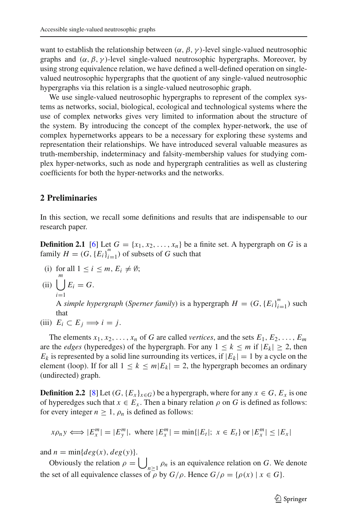want to establish the relationship between  $(\alpha, \beta, \gamma)$ -level single-valued neutrosophic graphs and  $(\alpha, \beta, \gamma)$ -level single-valued neutrosophic hypergraphs. Moreover, by using strong equivalence relation, we have defined a well-defined operation on singlevalued neutrosophic hypergraphs that the quotient of any single-valued neutrosophic hypergraphs via this relation is a single-valued neutrosophic graph.

We use single-valued neutrosophic hypergraphs to represent of the complex systems as networks, social, biological, ecological and technological systems where the use of complex networks gives very limited to information about the structure of the system. By introducing the concept of the complex hyper-network, the use of complex hypernetworks appears to be a necessary for exploring these systems and representation their relationships. We have introduced several valuable measures as truth-membership, indeterminacy and falsity-membership values for studying complex hyper-networks, such as node and hypergraph centralities as well as clustering coefficients for both the hyper-networks and the networks.

#### **2 Preliminaries**

In this section, we recall some definitions and results that are indispensable to our research paper.

**Definition 2.1** [\[6](#page-25-14)] Let  $G = \{x_1, x_2, \ldots, x_n\}$  be a finite set. A hypergraph on *G* is a family  $H = (G, {E_i}_{i=1}^m)$  of subsets of *G* such that

- (i) for all  $1 \le i \le m$ ,  $E_i \neq \emptyset$ ;
- (ii)  $\vert \ \vert$ *m i*=1  $E_i = G$ .

A *simple hypergraph* (*Sperner family*) is a hypergraph  $H = (G, \{E_i\}_{i=1}^m)$  such that

(iii)  $E_i \subset E_j \Longrightarrow i = j$ .

The elements  $x_1, x_2, \ldots, x_n$  of *G* are called *vertices*, and the sets  $E_1, E_2, \ldots, E_m$ are the *edges* (hyperedges) of the hypergraph. For any  $1 \le k \le m$  if  $|E_k| \ge 2$ , then  $E_k$  is represented by a solid line surrounding its vertices, if  $|E_k| = 1$  by a cycle on the element (loop). If for all  $1 \le k \le m |E_k| = 2$ , the hypergraph becomes an ordinary (undirected) graph.

**Definition 2.2** [\[8](#page-25-15)] Let  $(G, {E_x}_{x \in G})$  be a hypergraph, where for any  $x \in G$ ,  $E_x$  is one of hyperedges such that  $x \in E_x$ . Then a binary relation  $\rho$  on *G* is defined as follows: for every integer  $n \geq 1$ ,  $\rho_n$  is defined as follows:

$$
x\rho_n y \iff |E_x^m| = |E_y^m|
$$
, where  $|E_x^m| = \min\{|E_t|; x \in E_t\}$  or  $|E_x^m| \le |E_x|$ 

and  $n = \min\{deg(x), deg(y)\}.$ 

Obviously the relation  $\rho = \bigcup_{n \geq 1} \rho_n$  is an equivalence relation on *G*. We denote the set of all equivalence classes of  $\overline{\rho}$  by  $G/\rho$ . Hence  $G/\rho = {\rho(x) | x \in G}$ .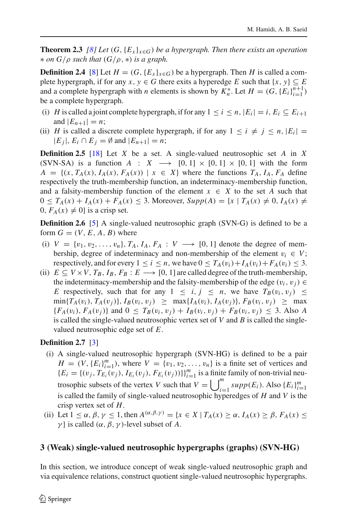**Theorem 2.3** *[\[8](#page-25-15)] Let* (*G*,  ${E_x}_{x \in G}$ *) be a hypergraph. Then there exists an operation* ∗ *on G*/ρ *such that* (*G*/ρ , ∗) *is a graph.*

**Definition 2.4** [\[8](#page-25-15)] Let  $H = (G, \{E_x\}_{x \in G})$  be a hypergraph. Then *H* is called a complete hypergraph, if for any  $x, y \in G$  there exits a hyperedge *E* such that  $\{x, y\} \subseteq E$ and a complete hypergraph with *n* elements is shown by  $K_n^*$ . Let  $H = (G, \{E_i\}_{i=1}^{n+1})$ be a complete hypergraph.

- (i) *H* is called a joint complete hypergraph, if for any  $1 \le i \le n$ ,  $|E_i| = i$ ,  $E_i \subseteq E_{i+1}$ and  $|E_{n+1}| = n$ ;
- (ii) *H* is called a discrete complete hypergraph, if for any  $1 \leq i \neq j \leq n$ ,  $|E_i|$  $|E_i|, E_i ∩ E_j = ∅$  and  $|E_{n+1}| = n;$

**Definition 2.5** [\[18](#page-25-16)] Let *X* be a set. A single-valued neutrosophic set *A* in *X* (SVN-SA) is a function *A* : *X*  $\longrightarrow$  [0, 1]  $\times$  [0, 1]  $\times$  [0, 1] with the form  $A = \{(x, T_A(x), I_A(x), F_A(x)) \mid x \in X\}$  where the functions  $T_A$ ,  $I_A$ ,  $F_A$  define respectively the truth-membership function, an indeterminacy-membership function, and a falsity-membership function of the element  $x \in X$  to the set A such that  $0 \leq T_A(x) + I_A(x) + F_A(x) \leq 3$ . Moreover,  $Supp(A) = \{x \mid T_A(x) \neq 0, I_A(x) \neq 0\}$  $0, F_A(x) \neq 0$  is a crisp set.

**Definition 2.6** [\[5](#page-25-10)] A single-valued neutrosophic graph (SVN-G) is defined to be a form  $G = (V, E, A, B)$  where

- (i)  $V = \{v_1, v_2, \ldots, v_n\}, T_A, I_A, F_A : V \longrightarrow [0, 1]$  denote the degree of membership, degree of indeterminacy and non-membership of the element  $v_i \in V$ ; respectively, and for every  $1 \le i \le n$ , we have  $0 \le T_A(v_i) + I_A(v_i) + F_A(v_i) \le 3$ .
- (ii)  $E \subseteq V \times V$ ,  $T_B$ ,  $I_B$ ,  $F_B : E \longrightarrow [0, 1]$  are called degree of the truth-membership, the indeterminacy-membership and the falsity-membership of the edge  $(v_i, v_j) \in$ *E* respectively, such that for any  $1 \le i, j \le n$ , we have  $T_B(v_i, v_j) \le$  $\min\{T_A(v_i), T_A(v_j)\}, I_B(v_i, v_j) \geq \max\{I_A(v_i), I_A(v_j)\}, F_B(v_i, v_j) \geq \max\{I_A(v_j)\}$  ${F_A(v_i), F_A(v_j)}$  and  $0 \leq T_B(v_i, v_j) + I_B(v_i, v_j) + F_B(v_i, v_j) \leq 3$ . Also *A* is called the single-valued neutrosophic vertex set of *V* and *B* is called the singlevalued neutrosophic edge set of *E*.

### **Definition 2.7** [\[3](#page-25-13)]

- (i) A single-valued neutrosophic hypergraph (SVN-HG) is defined to be a pair  $H = (V, {E_i}_{i=1}^m)$ , where  $V = {v_1, v_2, \ldots, v_n}$  is a finite set of vertices and  ${E_i = \{(v_j, T_{E_i}(v_j), I_{E_i}(v_j), F_{E_i}(v_j))\}_{i=1}^m}$  is a finite family of non-trivial neutrosophic subsets of the vertex *V* such that  $V = \bigcup_{i=1}^{m} supp(E_i)$ . Also  $\{E_i\}_{i=1}^{m}$ is called the family of single-valued neutrosophic hyperedges of *H* and *V* is the crisp vertex set of *H*.
- (ii) Let  $1 \le \alpha, \beta, \gamma \le 1$ , then  $A^{(\alpha,\beta,\gamma)} = \{x \in X \mid T_A(x) \ge \alpha, I_A(x) \ge \beta, F_A(x) \le$ γ } is called (α, β, γ )-level subset of *A*.

# **3 (Weak) single-valued neutrosophic hypergraphs (graphs) (SVN-HG)**

In this section, we introduce concept of weak single-valued neutrosophic graph and via equivalence relations, construct quotient single-valued neutrosophic hypergraphs.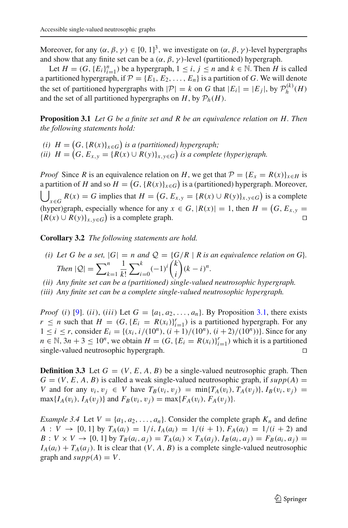Moreover, for any  $(\alpha, \beta, \gamma) \in [0, 1]^3$ , we investigate on  $(\alpha, \beta, \gamma)$ -level hypergraphs and show that any finite set can be a  $(\alpha, \beta, \gamma)$ -level (partitioned) hypergraph.

Let  $H = (G, {E_i}_{i=1}^n)$  be a hypergraph,  $1 \le i, j \le n$  and  $k \in \mathbb{N}$ . Then *H* is called a partitioned hypergraph, if  $P = \{E_1, E_2, \ldots, E_n\}$  is a partition of *G*. We will denote the set of partitioned hypergraphs with  $|\mathcal{P}| = k$  on *G* that  $|E_i| = |E_j|$ , by  $\mathcal{P}_h^{(k)}(H)$ and the set of all partitioned hypergraphs on  $H$ , by  $\mathcal{P}_h(H)$ .

<span id="page-4-0"></span>**Proposition 3.1** *Let G be a finite set and R be an equivalence relation on H. Then the following statements hold:*

*(i)*  $H = (G, \{R(x)\}_{x \in G})$  is a (partitioned) hypergraph; (*ii*)  $H = (G, E_{x,y} = \{R(x) \cup R(y)\}_{x,y \in G})$  *is a complete (hyper)graph.* 

*Proof* Since *R* is an equivalence relation on *H*, we get that  $P = \{E_x = R(x)\}_{x \in H}$  is a partition of *H* and so  $H = (G, \{R(x)\}_{x \in G})$  is a (partitioned) hypergraph. Moreover,  $\Box$  $R(x) = G$  implies that  $H = (G, E_{x,y} = \{R(x) \cup R(y)\}_{x,y \in G}$  is a complete (hyper)graph, especially whence for any  $x \in G$ ,  $|R(x)| = 1$ , then  $H = (G, E_{x,y})$  ${R(x) ∪ R(y)}_{x,y ∈ G}$  is a complete graph.  $□$ 

<span id="page-4-1"></span>**Corollary 3.2** *The following statements are hold.*

- *(i) Let G be a set,*  $|G| = n$  *and*  $Q = {G/R | R is an equivalence relation on G}.$ *Then*  $|Q| = \sum_{k=1}^{n}$ 1 *k*!  $\sum^k$  $\sum_{i=0}^{k}(-1)^{i} \binom{k}{i}$ *i*  $(k - i)^n$ .
- *(ii) Any finite set can be a (partitioned) single-valued neutrosophic hypergraph.*
- *(iii) Any finite set can be a complete single-valued neutrosophic hypergraph.*

*Proof* (*i*) [\[9](#page-25-17)]. (*ii*), (*iii*) Let  $G = \{a_1, a_2, \ldots, a_n\}$ . By Proposition [3.1,](#page-4-0) there exists  $r \le n$  such that  $H = (G, \{E_i = R(x_i)\}_{i=1}^r)$  is a partitioned hypergraph. For any  $1 \le i \le r$ , consider  $E_i = \{(x_i, i/(10^n), (i+1)/(10^n), (i+2)/(10^n))\}$ . Since for any *n* ∈ N, 3*n* + 3 ≤ 10<sup>*n*</sup>, we obtain *H* = (*G*, {*E<sub>i</sub>* = *R*(*x<sub>i</sub>*)}<sup>*r*</sup><sub>*i*=1</sub>) which it is a partitioned single-valued neutrosophic hypergraph.

**Definition 3.3** Let  $G = (V, E, A, B)$  be a single-valued neutrosophic graph. Then  $G = (V, E, A, B)$  is called a weak single-valued neutrosophic graph, if  $supp(A)$  = *V* and for any  $v_i, v_j \in V$  have  $T_B(v_i, v_j) = \min\{T_A(v_i), T_A(v_j)\}, I_B(v_i, v_j) =$  $\max\{I_A(v_i), I_A(v_j)\}\$  and  $F_B(v_i, v_j) = \max\{F_A(v_i), F_A(v_j)\}.$ 

*Example 3.4* Let  $V = \{a_1, a_2, \ldots, a_n\}$ . Consider the complete graph  $K_n$  and define  $A: V \to [0, 1]$  by  $T_A(a_i) = 1/i$ ,  $I_A(a_i) = 1/(i + 1)$ ,  $F_A(a_i) = 1/(i + 2)$  and *B* :  $V \times V \rightarrow [0, 1]$  by  $T_B(a_i, a_j) = T_A(a_i) \times T_A(a_j), I_B(a_i, a_j) = F_B(a_i, a_j)$  $I_A(a_i) + T_A(a_i)$ . It is clear that  $(V, A, B)$  is a complete single-valued neutrosophic graph and  $supp(A) = V$ .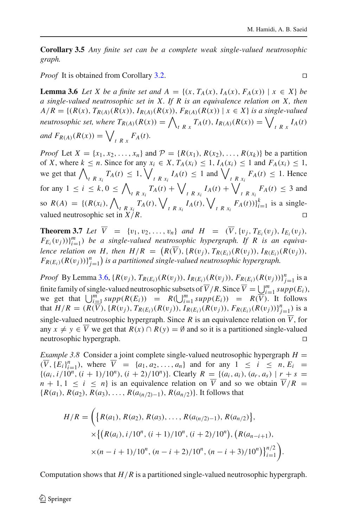**Corollary 3.5** *Any finite set can be a complete weak single-valued neutrosophic graph.*

<span id="page-5-0"></span>*Proof* It is obtained from Corollary [3.2.](#page-4-1) □

**Lemma 3.6** *Let X be a finite set and A* = { $(x, T_A(x), I_A(x), F_A(x))$  |  $x \in X$ } *be a single-valued neutrosophic set in X. If R is an equivalence relation on X, then*  $A/R = \{(R(x), T_{R(A)}(R(x)), I_{R(A)}(R(x)), F_{R(A)}(R(x)) \mid x \in X\}$  *is a single-valued neutrosophic set, where*  $T_{R(A)}(R(x)) = \bigwedge_{t \ R x} T_A(t)$ ,  $I_{R(A)}(R(x)) = \bigvee_{t \ R x} I_A(t)$ *and*  $F_{R(A)}(R(x)) = \bigvee_{t \ R x} F_A(t)$ .

*Proof* Let  $X = \{x_1, x_2, ..., x_n\}$  and  $P = \{R(x_1), R(x_2), ..., R(x_k)\}$  be a partition of *X*, where  $k \leq n$ . Since for any  $x_i \in X$ ,  $T_A(x_i) \leq 1$ ,  $I_A(x_i) \leq 1$  and  $F_A(x_i) \leq 1$ , we get that  $\bigwedge_{t \in R} T_A(t) \leq 1$ ,  $\bigvee_{t \in R} T_A(t) \leq 1$  and  $\bigvee_{t \in R} T_A(t) \leq 1$ . Hence for any  $1 \le i \le k, 0 \le \bigwedge_{t \in R} \bigwedge_{x_i} T_A(t) + \bigvee_{t \in R} \bigvee_{x_i} I_A(t) + \bigvee_{t \in R} \bigvee_{x_i} F_A(t) \le 3$  and *tRx<sub>i</sub>* **b** *tRx<sub>i</sub>* **b** *tRx<sub>i</sub>* **b** *tRx<sub>i</sub>* so  $R(A) = \{ (R(x_i), \bigwedge_{t \in R(x_i)} T_A(t), \bigvee_{t \in R(x_i)} I_A(t), \bigvee_{t \in R(x_i)} F_A(t)) \}_{i=1}^k$  is a singlevalued neutrosophic set in  $X/R$ .

<span id="page-5-1"></span>**Theorem 3.7** *Let*  $\overline{V}$  = { $v_1, v_2, ..., v_n$ } *and*  $H$  =  $(\overline{V}, \{v_j, T_{E_i}(v_j), I_{E_i}(v_j),$  $(F_{E_i}(v_j))\}_{i=1}^m$ ) *be a single-valued neutrosophic hypergraph. If R is an equivalence relation on*  $H$ , then  $H/R = (R(V), \{R(v_j), T_{R(E_i)}(R(v_j)), I_{R(E_i)}(R(v_j)),$  $F_{R(E_i)}(R(v_j))\}_{j=1}^n$  is a partitioned single-valued neutrosophic hypergraph.

*Proof* By Lemma [3.6,](#page-5-0)  $\{R(v_j), T_{R(E_i)}(R(v_j)), I_{R(E_i)}(R(v_j)), F_{R(E_i)}(R(v_j))\}_{j=1}^n$  is a finite family of single-valued neutrosophic subsets of  $\overline{V}/R$ . Since  $\overline{V} = \bigcup_{i=1}^{m} supp(E_i)$ , we get that  $\bigcup_{i=1}^m supp(R(E_i)) = R(\bigcup_{i=1}^m supp(E_i)) = R(\overline{V})$ . It follows that  $H/R = (R(\overline{V}), \{R(v_j), T_{R(E_i)}(R(v_j)), I_{R(E_i)}(R(v_j)), F_{R(E_i)}(R(v_j))\}_{j=1}^n$  is a single-valued neutrosophic hypergraph. Since *R* is an equivalence relation on  $\overline{V}$ , for any  $x \neq y \in \overline{V}$  we get that  $R(x) \cap R(y) = \emptyset$  and so it is a partitioned single-valued neutrosophic hypergraph.

*Example 3.8* Consider a joint complete single-valued neutrosophic hypergraph  $H =$  $(\overline{V}, \{E_i\}_{i=1}^n)$ , where  $\overline{V} = \{a_1, a_2, ..., a_n\}$  and for any  $1 \le i \le n, E_i =$  ${(a_i, i/10^n, (i + 1)/10^n), (i + 2)/10^n)}$ . Clearly  $R = {(a_i, a_i), (a_r, a_s) | r + s =$  $n + 1, 1 \le i \le n$  is an equivalence relation on *V* and so we obtain  $V/R =$  ${R(a_1), R(a_2), R(a_3), \ldots, R(a_{n/2)-1}), R(a_{n/2})}.$  It follows that

$$
H/R = \left( \{ R(a_1), R(a_2), R(a_3), \dots, R(a_{n/2)-1}), R(a_{n/2}) \}, \times \{ \{ R(a_i), i/10^n, (i+1)/10^n, (i+2)/10^n), (R(a_{n-i+1}), \times (n-i+1)/10^n, (n-i+2)/10^n, (n-i+3)/10^n) \}_{i=1}^{n/2} \right).
$$

Computation shows that  $H/R$  is a partitioned single-valued neutrosophic hypergraph.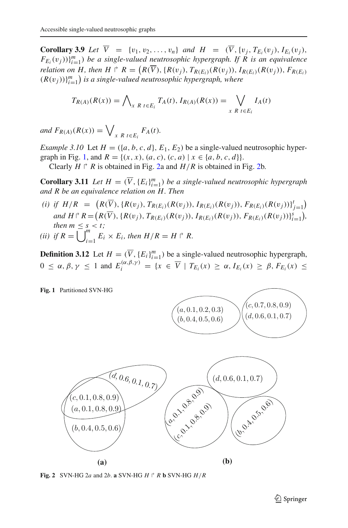**Corollary 3.9** *Let*  $V = \{v_1, v_2, ..., v_n\}$  *and*  $H = (V, \{v_j, T_{E_i}(v_j), I_{E_i}(v_j)\})$  $(F_{E_i}(v_j))_{i=1}^m$ ) *be a single-valued neutrosophic hypergraph. If R is an equivalence relation on H, then H*  $\Gamma$  *R* =  $(R(V), \{R(v_j), T_{R(E_i)}(R(v_j)), I_{R(E_i)}(R(v_j)), F_{R(E_i)}\}$  $(R(v_j))\}_{i=1}^m$  is a single-valued neutrosophic hypergraph, where

$$
T_{R(A)}(R(x)) = \bigwedge_{x \ R \ t \in E_i} T_A(t), I_{R(A)}(R(x)) = \bigvee_{x \ R \ t \in E_i} I_A(t)
$$

*and*  $F_{R(A)}(R(x)) = \bigvee_{x \ R} \sum_{t \in E_i} F_A(t)$ .

<span id="page-6-2"></span>*Example 3.10* Let  $H = (\{a, b, c, d\}, E_1, E_2)$  be a single-valued neutrosophic hyper-graph in Fig. [1,](#page-6-0) and  $R = \{(x, x), (a, c), (c, a) \mid x \in \{a, b, c, d\}\}.$ 

Clearly  $H \rvert R$  is obtained in Fig. [2a](#page-6-1) and  $H/R$  is obtained in Fig. [2b](#page-6-1).

**Corollary 3.11** *Let*  $H = (\overline{V}, \{E_i\}_{i=1}^m)$  *be a single-valued neutrosophic hypergraph and R be an equivalence relation on H. Then*

*(i) if*  $H/R = (R(\overline{V}), \{R(v_j), T_{R(E_i)}(R(v_j)), I_{R(E_i)}(R(v_j)), F_{R(E_i)}(R(v_j))\}_{j=1}^t)$ and  $H \upharpoonright R = (R(\overline{V}), \{R(v_j), T_{R(E_i)}(R(v_j)), I_{R(E_i)}(R(v_j)), F_{R(E_i)}(R(v_j))\}_{i=1}^s),$ *then*  $m \leq s \leq t$ ; *(ii)* if  $R = \overline{\bigcup}_{i=1}^{m}$  $E_i \times E_i$ , then  $H/R = H \rvert R$ .

**Definition 3.12** Let  $H = (\overline{V}, \{E_i\}_{i=1}^m)$  be a single-valued neutrosophic hypergraph,  $0 \le \alpha, \beta, \gamma \le 1$  and  $E_i^{(\alpha, \beta, \gamma)} = \{x \in \overline{V} \mid T_{E_i}(x) \ge \alpha, I_{E_i}(x) \ge \beta, F_{E_i}(x) \le 1\}$ 

**Fig. 1** Partitioned SVN-HG

<span id="page-6-0"></span>

<span id="page-6-1"></span>**Fig. 2** SVN-HG 2*a* and 2*b*. **a** SVN-HG *H*  $\uparrow$  *R* **b** SVN-HG *H* / *R* 

 $(c, 0.7, 0.8, 0.9)$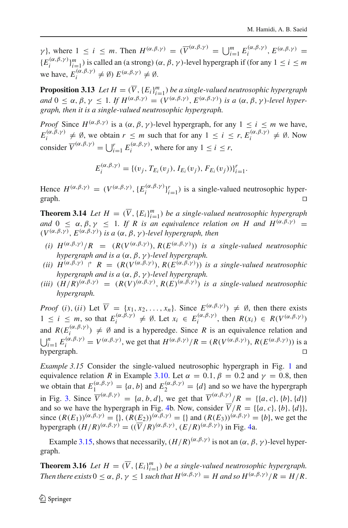$\gamma$ }, where  $1 \leq i \leq m$ . Then  $H^{(\alpha,\beta,\gamma)} = (\overline{V}^{(\alpha,\beta,\gamma)} = \bigcup_{i=1}^{m} E_i^{(\alpha,\beta,\gamma)}$ ,  $E^{(\alpha,\beta,\gamma)} = \bigcup_{i=1}^{m} E_i^{(\alpha,\beta,\gamma)}$  ${E_i^{(\alpha,\beta,\gamma)}\}_{i=1}^m$ ) is called an (a strong)  $(\alpha,\beta,\gamma)$ -level hypergraph if (for any  $1 \le i \le m$ we have,  $E_i^{(\alpha,\beta,\gamma)} \neq \emptyset$ )  $E^{(\alpha,\beta,\gamma)} \neq \emptyset$ .

**Proposition 3.13** *Let*  $H = (\overline{V}, \{E_i\}_{i=1}^m)$  *be a single-valued neutrosophic hypergraph and*  $0 < \alpha, \beta, \gamma < 1$ , *If*  $H^{(\alpha,\beta,\gamma)} = (V^{(\alpha,\beta,\gamma)}, E^{(\alpha,\beta,\gamma)})$  *is a*  $(\alpha, \beta, \gamma)$ *-level hypergraph, then it is a single-valued neutrosophic hypergraph.*

*Proof* Since  $H^{(\alpha,\beta,\gamma)}$  is a  $(\alpha,\beta,\gamma)$ -level hypergraph, for any  $1 \le i \le m$  we have,  $E_i^{(\alpha,\beta,\gamma)} \neq \emptyset$ , we obtain  $r \leq m$  such that for any  $1 \leq i \leq r$ ,  $E_i^{(\alpha,\beta,\gamma)} \neq \emptyset$ . Now consider  $\overline{V}^{(\alpha,\beta,\gamma)} = \bigcup_{i=1}^r E_i^{(\alpha,\beta,\gamma)}$ , where for any  $1 \le i \le r$ ,

$$
E_i^{(\alpha,\beta,\gamma)} = \{ (v_j, T_{E_i}(v_j), I_{E_i}(v_j), F_{E_i}(v_j)) \}_{i=1}^r.
$$

Hence  $H^{(\alpha,\beta,\gamma)} = (V^{(\alpha,\beta,\gamma)}, \{E_i^{(\alpha,\beta,\gamma)}\}_{i=1}^r)$  is a single-valued neutrosophic hypergraph.  $\Box$ 

**Theorem 3.14** *Let*  $H = (\overline{V}, \{E_i\}_{i=1}^m)$  *be a single-valued neutrosophic hypergraph and*  $0 \leq \alpha, \beta, \gamma \leq 1$ *. If R is an equivalence relation on H and*  $H^{(\alpha,\beta,\gamma)}$  *=* (*V*(α,β,γ ), *E*(α,β,γ )) *is a* (α, β, γ )*-level hypergraph, then*

- *(i)*  $H^{(\alpha,\beta,\gamma)}/R = (R(V^{(\alpha,\beta,\gamma)}), R(E^{(\alpha,\beta,\gamma)}))$  *is a single-valued neutrosophic hypergraph and is a* (α, β, γ )*-level hypergraph.*
- (*ii*)  $H^{(\alpha,\beta,\gamma)} \rvert R = (R(V^{(\alpha,\beta,\gamma)}), R(E^{(\alpha,\beta,\gamma)}))$  *is a single-valued neutrosophic hypergraph and is a* (α, β, γ )*-level hypergraph.*
- (*iii*)  $(H/R)^{(\alpha,\beta,\gamma)} = (R(V)^{(\alpha,\beta,\gamma)}, R(E)^{(\alpha,\beta,\gamma)})$  *is a single-valued neutrosophic hypergraph.*

*Proof* (*i*), (*ii*) Let  $\overline{V} = \{x_1, x_2, \ldots, x_n\}$ . Since  $E^{(\alpha, \beta, \gamma)} \neq \emptyset$ , then there exists  $1 \leq i \leq m$ , so that  $E_i^{(\alpha,\beta,\gamma)} \neq \emptyset$ . Let  $x_i \in E_i^{(\alpha,\beta,\gamma)}$ , then  $R(x_i) \in R(V^{(\alpha,\beta,\gamma)})$ and  $R(E_i^{(\alpha,\beta,\gamma)}) \neq \emptyset$  and is a hyperedge. Since *R* is an equivalence relation and  $\bigcup_{i=1}^{n} E_i^{(\alpha,\beta,\gamma)} = V^{(\alpha,\beta,\gamma)}$ , we get that  $H^{(\alpha,\beta,\gamma)}/R = (R(V^{(\alpha,\beta,\gamma)}), R(E^{(\alpha,\beta,\gamma)}))$  is a hypergraph.

<span id="page-7-0"></span>*Example 3.[1](#page-6-0)5* Consider the single-valued neutrosophic hypergraph in Fig. 1 and equivalence relation *R* in Example [3.10.](#page-6-2) Let  $\alpha = 0.1$ ,  $\beta = 0.2$  and  $\gamma = 0.8$ , then we obtain that  $E_1^{(\alpha,\beta,\gamma)} = \{a,b\}$  and  $E_2^{(\alpha,\beta,\gamma)} = \{d\}$  and so we have the hypergraph in Fig. [3.](#page-8-0) Since  $\overline{V}^{(\alpha,\beta,\gamma)} = \{a, b, d\}$ , we get that  $\overline{V}^{(\alpha,\beta,\gamma)}/R = \{ \{a, c\}, \{b\}, \{d\} \}$ and so we have the hypergraph in Fig. [4b](#page-8-1). Now, consider  $\overline{V}/R = \{ \{a, c\}, \{b\}, \{d\} \}$ , since  $(R(E_1))^{(\alpha,\beta,\gamma)} = \{\}, (R(E_2))^{(\alpha,\beta,\gamma)} = \{\}$  and  $(R(E_3))^{(\alpha,\beta,\gamma)} = \{b\}$ , we get the hypergraph  $(H/R)^{(\alpha,\beta,\gamma)} = (\overline{(V/R)}^{(\alpha,\beta,\gamma)}, \overline{(E/R)}^{(\alpha,\beta,\gamma)})$  in Fig. [4a](#page-8-1).

Example [3.15,](#page-7-0) shows that necessarily,  $(H/R)^{(\alpha,\beta,\gamma)}$  is not an  $(\alpha,\beta,\gamma)$ -level hypergraph.

**Theorem 3.16** *Let*  $H = (\overline{V}, \{E_i\}_{i=1}^m)$  *be a single-valued neutrosophic hypergraph. Then there exists*  $0 \le \alpha, \beta, \gamma \le 1$  *such that*  $H^{(\alpha,\beta,\gamma)} = H$  *and so*  $H^{(\alpha,\beta,\gamma)}/R = H/R$ .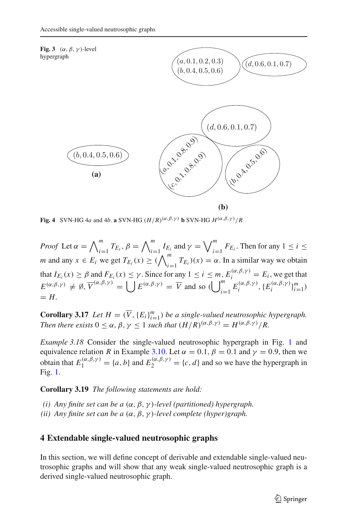<span id="page-8-0"></span>

<span id="page-8-1"></span>**Fig. 4** SVN-HG 4*a* and 4*b*. **a** SVN-HG  $(H/R)^{(\alpha,\beta,\gamma)}$  **b** SVN-HG  $H^{(\alpha,\beta,\gamma)}/R$ 

*Proof* Let  $\alpha = \bigwedge_{i=1}^{m} T_{E_i}, \beta = \bigwedge_{i=1}^{m} I_{E_i}$  and  $\gamma = \bigvee_{i=1}^{m} F_{E_i}$ . Then for any  $1 \leq i \leq n$ *i*=1 *i*=1 *i*=1 *m* and any  $x \in E_i$  we get  $T_{E_i}(x) \geq (\bigwedge_{i=1}^m T_{E_i})(x) = \alpha$ . In a similar way we obtain that  $I_{E_i}(x) \ge \beta$  and  $F_{E_i}(x) \le \gamma$ . Since for any  $1 \le i \le m$ ,  $E_i^{(\alpha,\beta,\gamma)} = E_i$ , we get that  $E^{(\alpha,\beta,\gamma)} \neq \emptyset$ ,  $\overline{V}^{(\alpha,\beta,\gamma)} = \bigcup E^{(\alpha,\beta,\gamma)} = \overline{V}$  and so  $\bigcup_{i=1}^{m}$  $\sum_{i=1}^{m} E_i^{(\alpha,\beta,\gamma)}, \{E_i^{(\alpha,\beta,\gamma)}\}_{i=1}^{m}$  $=$   $H$ .

**Corollary 3.17** *Let*  $H = (\overline{V}, \{E_i\}_{i=1}^m)$  *be a single-valued neutrosophic hypergraph. Then there exists*  $0 < \alpha, \beta, \gamma < 1$  *such that*  $(H/R)^{(\alpha, \beta, \gamma)} = H^{(\alpha, \beta, \gamma)}/R$ .

*Example 3.[1](#page-6-0)8* Consider the single-valued neutrosophic hypergraph in Fig. 1 and equivalence relation *R* in Example [3.10.](#page-6-2) Let  $\alpha = 0.1$ ,  $\beta = 0.1$  and  $\gamma = 0.9$ , then we obtain that  $E_1^{(\alpha,\beta,\gamma)} = \{a,b\}$  and  $E_2^{(\alpha,\beta,\gamma)} = \{c,d\}$  and so we have the hypergraph in Fig. [1.](#page-6-0)

**Corollary 3.19** *The following statements are hold:*

*(i) Any finite set can be a* (α, β, γ )*-level (partitioned) hypergraph. (ii) Any finite set can be a* (α, β, γ )*-level complete (hyper)graph.*

### **4 Extendable single-valued neutrosophic graphs**

In this section, we will define concept of derivable and extendable single-valued neutrosophic graphs and will show that any weak single-valued neutrosophic graph is a derived single-valued neutrosophic graph.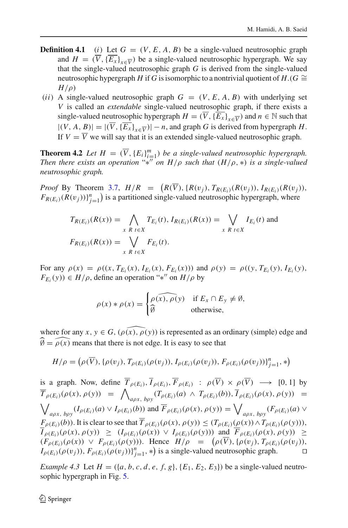- **Definition 4.1** (*i*) Let  $G = (V, E, A, B)$  be a single-valued neutrosophic graph and  $H = (\overline{V}, {\overline{E_x}}_{x \in \overline{V}})$  be a single-valued neutrosophic hypergraph. We say that the single-valued neutrosophic graph *G* is derived from the single-valued neutrosophic hypergraph *H* if *G* is isomorphic to a nontrivial quotient of *H*.(*G*  $\cong$ *H*/ρ)
- (*ii*) A single-valued neutrosophic graph  $G = (V, E, A, B)$  with underlying set *V* is called an *extendable* single-valued neutrosophic graph, if there exists a single-valued neutrosophic hypergraph  $H = (\overline{V}, {\overline{E_x}})_{x \in \overline{V}}$  and  $n \in \mathbb{N}$  such that  $|(V, A, B)| = |(\overline{V}, {\overline{E_x}}_{x \in \overline{V}})| - n$ , and graph *G* is derived from hypergraph *H*. If  $V = \overline{V}$  we will say that it is an extended single-valued neutrosophic graph.

<span id="page-9-0"></span>**Theorem 4.2** *Let*  $H = (\overline{V}, \{E_i\}_{i=1}^m)$  *be a single-valued neutrosophic hypergraph. Then there exists an operation* "\*<sup>*n*</sup> *on H*/*ρ such that*  $(H/\rho, *)$  *is a single-valued neutrosophic graph.*

*Proof* By Theorem [3.7,](#page-5-1)  $H/R = (R(V), \{R(v_j), T_{R(E_i)}(R(v_j)), I_{R(E_i)}(R(v_j)),$  $F_{R(E_i)}(R(v_j))\}_{j=1}^n$  is a partitioned single-valued neutrosophic hypergraph, where

$$
T_{R(E_i)}(R(x)) = \bigwedge_{x \ R \ t \in X} T_{E_i}(t), I_{R(E_i)}(R(x)) = \bigvee_{x \ R \ t \in X} I_{E_i}(t) \text{ and}
$$
  

$$
F_{R(E_i)}(R(x)) = \bigvee_{x \ R \ t \in X} F_{E_i}(t).
$$

For any  $\rho(x) = \rho((x, T_{E_i}(x), I_{E_i}(x), F_{E_i}(x)))$  and  $\rho(y) = \rho((y, T_{E_i}(y), I_{E_i}(y)),$  $F_{E_i}(y)$ )  $\in H/\rho$ , define an operation "\*" on  $H/\rho$  by

$$
\rho(x) * \rho(x) = \begin{cases} \rho(x), \rho(y) & \text{if } E_x \cap E_y \neq \emptyset, \\ \widehat{\emptyset} & \text{otherwise,} \end{cases}
$$

where for any  $x, y \in G$ ,  $(\widehat{\rho(x)}, \widehat{\rho(y)})$  is represented as an ordinary (simple) edge and  $\widehat{\emptyset} = \widehat{\rho(x)}$  means that there is not edge. It is easy to see that

$$
H/\rho = (\rho(\overline{V}), {\rho(v_j)}, T_{\rho(E_i)}(\rho(v_j)), I_{\rho(E_i)}(\rho(v_j)), F_{\rho(E_i)}(\rho(v_j)))_{j=1}^n, *)
$$

is a graph. Now, define  $\overline{T}_{\rho(E_i)}, \overline{I}_{\rho(E_i)}, \overline{F}_{\rho(E_i)}$  :  $\rho(\overline{V}) \times \rho(\overline{V}) \longrightarrow [0, 1]$  by  $\overline{T}_{\rho(E_i)}(\rho(x), \rho(y)) = \bigwedge_{a \rho x, b \rho y} (T_{\rho(E_i)}(a) \land T_{\rho(E_i)}(b)), \overline{I}_{\rho(E_i)}(\rho(x), \rho(y)) =$  $\bigvee_{a\rho x, b\rho y} (I_{\rho(E_i)}(a) \vee I_{\rho(E_i)}(b))$  and  $\overline{F}_{\rho(E_i)}(\rho(x), \rho(y)) = \bigvee_{a\rho x, b\rho y} (F_{\rho(E_i)}(a) \vee$  $F_{\rho(E_i)}(b)$ . It is clear to see that  $\overline{T}_{\rho(E_i)}(\rho(x), \rho(y)) \leq (T_{\rho(E_i)}(\rho(x)) \wedge T_{\rho(E_i)}(\rho(y))),$ *I*<sub>ρ(*E<sub>i</sub>*)</sub>(*ρ*(*x*), *ρ*(*y*)) ≥ (*I<sub>ρ(<i>E<sub>i</sub>*)</sub>(*ρ*(*x*)) ∨ *I<sub>ρ(<i>E<sub>i</sub>*)</sub>(*ρ*(*y*))) and  $\overline{F}_{\rho(E_i)}(\rho(x), \rho(y))$  ≥  $(F_{\rho(E_i)}(\rho(x)) \vee F_{\rho(E_i)}(\rho(y)))$ . Hence  $H/\rho = (\rho(V), {\rho(v_j)}, T_{\rho(E_i)}(\rho(v_j)),$  $I_{\rho(E_i)}(\rho(v_j)), F_{\rho(E_i)}(\rho(v_j))\}_{j=1}^n, *$  is a single-valued neutrosophic graph.

*Example 4.3* Let  $H = (\{a, b, c, d, e, f, g\}, \{E_1, E_2, E_3\})$  be a single-valued neutrosophic hypergraph in Fig. [5.](#page-10-0)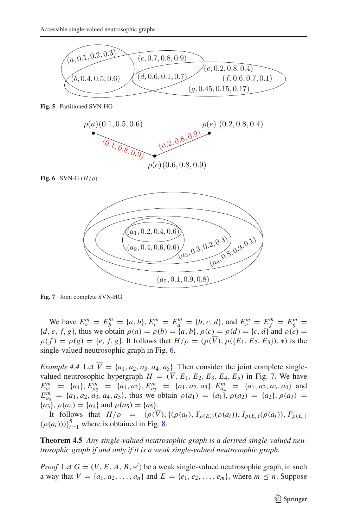

**Fig. 5** Partitioned SVN-HG

<span id="page-10-0"></span>

**Fig. 6** SVN-G  $(H/\rho)$ 

<span id="page-10-1"></span>

<span id="page-10-2"></span>**Fig. 7** Joint complete SVN-HG

We have  $E_a^m = E_b^m = \{a, b\}, E_c^m = E_d^m = \{b, c, d\}, \text{ and } E_e^m = E_f^m = E_g^m =$  ${d, e, f, g}$ , thus we obtain  $\rho(a) = \rho(b) = {a, b}$ ,  $\rho(c) = \rho(d) = {c, d}$  and  $\rho(e) =$  $\rho(f) = \rho(g) = \{e, f, g\}$ . It follows that  $H/\rho = (\rho(\overline{V}), \rho(\{E_1, E_2, E_3\}), *)$  is the single-valued neutrosophic graph in Fig. [6.](#page-10-1)

*Example 4.4* Let  $\overline{V} = \{a_1, a_2, a_3, a_4, a_5\}$ . Then consider the joint complete singlevalued neutrosophic hypergraph  $H = (\overline{V}, E_1, E_2, E_3, E_4, E_5)$  in Fig. [7.](#page-10-2) We have  $E_{a_1}^m = \{a_1\}, E_{a_2}^m = \{a_1, a_2\}, E_{a_3}^m = \{a_1, a_2, a_3\}, E_{a_4}^m = \{a_1, a_2, a_3, a_4\}$  and  $E_{a_5}^{m} = \{a_1, a_2, a_3, a_4, a_5\}$ , thus we obtain  $\rho(a_1) = \{a_1\}$ ,  $\rho(a_2) = \{a_2\}$ ,  $\rho(a_3) =$  ${a_3}, \rho(a_4) = {a_4}$  and  $\rho(a_5) = {a_5}.$ 

It follows that  $H/\rho = (\rho(\overline{V}), \{(\rho(a_i), T_{\rho(E_i)}(\rho(a_i)), I_{\rho(E_i)}(\rho(a_i)), F_{\rho(E_i)}\}$  $(\rho(a_i)))\}_{i=1}^5$  where is obtained in Fig. [8.](#page-11-0)

**Theorem 4.5** *Any single-valued neutrosophic graph is a derived single-valued neutrosophic graph if and only if it is a weak single-valued neutrosophic graph.*

*Proof* Let  $G = (V, E, A, B, *)$  be a weak single-valued neutrosophic graph, in such a way that  $V = \{a_1, a_2, ..., a_n\}$  and  $E = \{e_1, e_2, ..., e_m\}$ , where  $m \le n$ . Suppose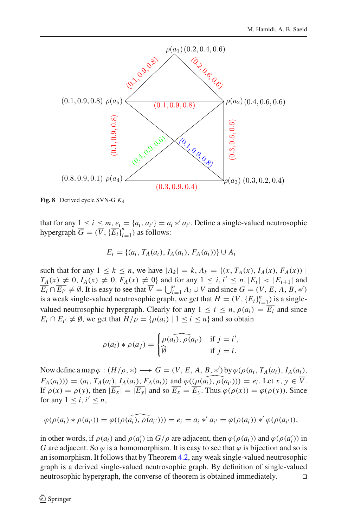

<span id="page-11-0"></span>**Fig. 8** Derived cycle SVN-G *K*4

that for any  $\underline{1} \leq i \leq m$ ,  $e_i = \{a_i, a_{i'}\} = a_i * a_{i'}$ . Define a single-valued neutrosophic hypergraph  $\overline{G} = (\overline{V}, {\{\overline{E_i}\}}_{i=1}^n)$  as follows:

$$
\overline{E_i} = \{(a_i, T_A(a_i), I_A(a_i), F_A(a_i))\} \cup A_i
$$

such that for any  $1 \le k \le n$ , we have  $|A_k| = k$ ,  $A_k = \{(x, T_A(x), I_A(x), F_A(x)) |$  $T_A(x) \neq 0, I_A(x) \neq 0, F_A(x) \neq 0$ } and for any  $1 \leq i, i' \leq n, |\overline{E_i}| < |\overline{E_{i+1}}|$  and  $\overline{E_i} \cap \overline{E_{i'}} \neq \emptyset$ . It is easy to see that  $\overline{V} = \bigcup_{i=1}^n A_i \cup V$  and since  $G = (V, E, A, B, *)$ is a weak single-valued neutrosophic graph, we get that  $H = (\overline{V}, {\{\overline{E_i}\}}_{i=1}^n)$  is a singlevalued neutrosophic hypergraph. Clearly for any  $1 \le i \le n$ ,  $\rho(a_i) = \overline{E_i}$  and since  $\overline{E_i} \cap \overline{E_{i'}} \neq \emptyset$ , we get that  $H/\rho = {\rho(a_i) | 1 \leq i \leq n}$  and so obtain

$$
\rho(a_i) * \rho(a_j) = \begin{cases} \rho(\widehat{a_i}) , \rho(a_{i'}) & \text{if } j = i', \\ \widehat{\emptyset} & \text{if } j = i. \end{cases}
$$

Now define a map  $\varphi : (H/\rho, *) \longrightarrow G = (V, E, A, B, *)$  by  $\varphi(\rho(a_i, T_A(a_i), I_A(a_i),$  $F_A(a_i)$ )) = (*a<sub>i</sub>*,  $T_A(a_i)$ ,  $I_A(a_i)$ ,  $F_A(a_i)$ ) and  $\varphi((\widehat{\rho(a_i)}, \widehat{\rho(a_{i'}}))) = e_i$ . Let  $x, y \in \overline{V}$ . If  $\rho(x) = \rho(y)$ , then  $|\overline{E_x}| = |\overline{E_y}|$  and so  $\overline{E_x} = \overline{E_y}$ . Thus  $\varphi(\rho(x)) = \varphi(\rho(y))$ . Since for any  $1 \leq i, i' \leq n$ ,

$$
\varphi(\rho(a_i) * \rho(a_{i'})) = \varphi((\rho(\widehat{a_{i}}), \rho(a_{i'}))) = e_i = a_i *' a_{i'} = \varphi(\rho(a_i)) *' \varphi(\rho(a_{i'})),
$$

in other words, if  $\rho(a_i)$  and  $\rho(a'_i)$  in  $G/\rho$  are adjacent, then  $\varphi(\rho(a_i))$  and  $\varphi(\rho(a'_i))$  in *G* are adjacent. So  $\varphi$  is a homomorphism. It is easy to see that  $\varphi$  is bijection and so is an isomorphism. It follows that by Theorem [4.2,](#page-9-0) any weak single-valued neutrosophic graph is a derived single-valued neutrosophic graph. By definition of single-valued neutrosophic hypergraph, the converse of theorem is obtained immediately.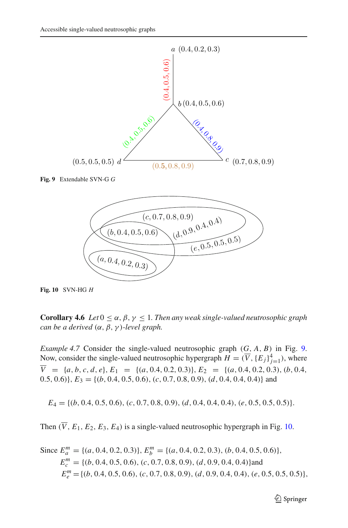

<span id="page-12-0"></span>**Fig. 9** Extendable SVN-G *G*



<span id="page-12-1"></span>**Fig. 10** SVN-HG *H*

**Corollary 4.6** *Let*  $0 \le \alpha, \beta, \gamma \le 1$ *. Then any weak single-valued neutrosophic graph can be a derived* (α, β, γ )*-level graph.*

*Example 4.7* Consider the single-valued neutrosophic graph (*G*, *A*, *B*) in Fig. [9.](#page-12-0) Now, consider the single-valued neutrosophic hypergraph  $H = (\overline{V}, \{E_j\}_{j=1}^4)$ , where  $\overline{V}$  = {*a*, *b*, *c*, *d*, *e*}, *E*<sub>1</sub> = {(*a*, 0.4, 0.2, 0.3)}, *E*<sub>2</sub> = {(*a*, 0.4, 0.2, 0.3), (*b*, 0.4, 0.5, 0.6)},  $E_3 = \{(b, 0.4, 0.5, 0.6), (c, 0.7, 0.8, 0.9), (d, 0.4, 0.4, 0.4)\}\$ and

*E*<sup>4</sup> = {(*b*, 0.4, 0.5, 0.6), (*c*, 0.7, 0.8, 0.9), (*d*, 0.4, 0.4, 0.4), (*e*, 0.5, 0.5, 0.5)}.

Then  $(\overline{V}, E_1, E_2, E_3, E_4)$  is a single-valued neutrosophic hypergraph in Fig. [10.](#page-12-1)

Since 
$$
E_a^m = \{(a, 0.4, 0.2, 0.3)\}
$$
,  $E_b^m = \{(a, 0.4, 0.2, 0.3), (b, 0.4, 0.5, 0.6)\}$ ,  
\n $E_c^m = \{(b, 0.4, 0.5, 0.6), (c, 0.7, 0.8, 0.9), (d, 0.9, 0.4, 0.4)\}$ and  
\n $E_e^m = \{(b, 0.4, 0.5, 0.6), (c, 0.7, 0.8, 0.9), (d, 0.9, 0.4, 0.4), (e, 0.5, 0.5, 0.5)\}$ ,

<sup>2</sup> Springer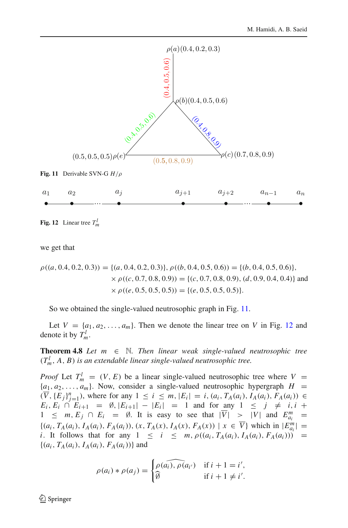

<span id="page-13-1"></span><span id="page-13-0"></span>**Fig. 12** Linear tree  $T_m^l$ 

we get that

$$
\rho((a, 0.4, 0.2, 0.3)) = \{(a, 0.4, 0.2, 0.3)\}, \rho((b, 0.4, 0.5, 0.6)) = \{(b, 0.4, 0.5, 0.6)\},\
$$

$$
\times \rho((c, 0.7, 0.8, 0.9)) = \{(c, 0.7, 0.8, 0.9), (d, 0.9, 0.4, 0.4)\} \text{ and}
$$

$$
\times \rho((e, 0.5, 0.5, 0.5)) = \{(e, 0.5, 0.5, 0.5)\}.
$$

So we obtained the single-valued neutrosophic graph in Fig. [11.](#page-13-0)

Let  $V = \{a_1, a_2, \ldots, a_m\}$ . Then we denote the linear tree on V in Fig. [12](#page-13-1) and denote it by  $T_m^l$ .

**Theorem 4.8** *Let*  $m \in \mathbb{N}$ . *Then linear weak single-valued neutrosophic tree*  $(T_m^l, A, B)$  *is an extendable linear single-valued neutrosophic tree.* 

*Proof* Let  $T_m^l = (V, E)$  be a linear single-valued neutrosophic tree where  $V =$  ${a_1, a_2, \ldots, a_m}$ . Now, consider a single-valued neutrosophic hypergraph  $H =$  $(\overline{V}, {\{E_j\}}_{j=1}^n)$ , where for any  $1 \le i \le m, |E_i| = i, (a_i, T_A(a_i), I_A(a_i), F_A(a_i)) \in$  $E_i, E_i \cap E_{i+1} = \emptyset, |E_{i+1}| - |E_i| = 1$  and for any  $1 \leq j \neq i, i+1 \leq m, E_j \cap E_i = \emptyset$ . It is easy to see that  $|\overline{V}| > |V|$  and  $E_m^m =$ 1  $\leq$  *m*,  $E_j \cap E_i = \emptyset$ . It is easy to see that  $|\overline{V}| > |V|$  and  $E_{a_i}^m =$  $\{(a_i, T_A(a_i), I_A(a_i), F_A(a_i)), (x, T_A(x), I_A(x), F_A(x)) \mid x \in \overline{V}\}\$  which in  $|E_{a_i}^m|$ *i*. It follows that for any  $1 \le i \le m$ ,  $\rho((a_i, T_A(a_i), I_A(a_i), F_A(a_i)))$  =  $\{(a_i, T_A(a_i), I_A(a_i), F_A(a_i))\}$  and

$$
\rho(a_i) * \rho(a_j) = \begin{cases} \rho(\widehat{a_i}, \rho(a_{i'}) & \text{if } i+1 = i', \\ \widehat{\emptyset} & \text{if } i+1 \neq i'. \end{cases}
$$

 $\mathcal{L}$  Springer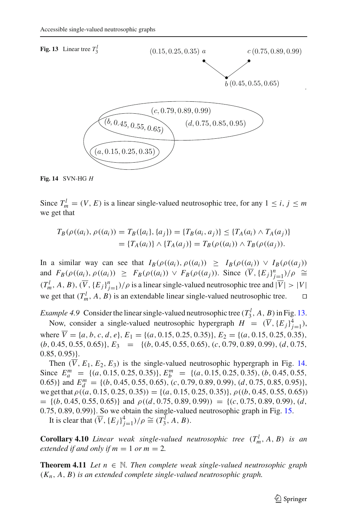<span id="page-14-0"></span>

<span id="page-14-1"></span>Since  $T_m^l = (V, E)$  is a linear single-valued neutrosophic tree, for any  $1 \le i, j \le m$ we get that

$$
T_B(\rho((a_i), \rho((a_i)) = T_B(\{a_i\}, \{a_j\}) = \{T_B(a_i, a_j)\} \leq \{T_A(a_i) \land T_A(a_j)\}
$$
  
=  $\{T_A(a_i)\} \land \{T_A(a_j)\} = T_B(\rho((a_i)) \land T_B(\rho((a_j))).$ 

In a similar way can see that  $I_B(\rho((a_i), \rho((a_i))) \geq I_B(\rho((a_i)) \vee I_B(\rho((a_i)))$ and  $F_B(\rho((a_i), \rho((a_i)) \geq F_B(\rho((a_i)) \vee F_B(\rho((a_j)).$  Since  $(\overline{V}, \{E_j\}_{j=1}^n)/\rho \cong$  $(T_m^l, A, B), (\overline{V}, \{E_j\}_{j=1}^n)/\rho$  is a linear single-valued neutrosophic tree and  $|\overline{V}| > |V|$ we get that  $(T_m^l, A, B)$  is an extendable linear single-valued neutrosophic tree.  $\square$ 

*Example 4.9* Consider the linear single-valued neutrosophic tree  $(T_3^l, A, B)$  in Fig. [13.](#page-14-0)

Now, consider a single-valued neutrosophic hypergraph  $H = (\overline{V}, \{E_j\}_{j=1}^4)$ , where  $\overline{V} = \{a, b, c, d, e\}, E_1 = \{(a, 0.15, 0.25, 0.35)\}, E_2 = \{(a, 0.15, 0.25, 0.35)\}$ (*b*, 0.45, 0.55, 0.65)}, *E*<sup>3</sup> = {(*b*, 0.45, 0.55, 0.65), (*c*, 0.79, 0.89, 0.99), (*d*, 0.75,  $(0.85, 0.95)$ .

Then  $(\overline{V}, E_1, E_2, E_3)$  is the single-valued neutrosophic hypergraph in Fig. [14.](#page-14-1) Since  $E_a^m = \{(a, 0.15, 0.25, 0.35)\}, E_b^m = \{(a, 0.15, 0.25, 0.35), (b, 0.45, 0.55,$ 0.65)} and  $E_d^m = \{(b, 0.45, 0.55, 0.65), (c, 0.79, 0.89, 0.99), (d, 0.75, 0.85, 0.95)\}\,$ we get that  $\rho((a, 0.15, 0.25, 0.35)) = \{(a, 0.15, 0.25, 0.35)\}, \rho((b, 0.45, 0.55, 0.65))$  $= \{(b, 0.45, 0.55, 0.65)\}\$ and  $\rho((d, 0.75, 0.89, 0.99)) = \{(c, 0.75, 0.89, 0.99), (d, 0.99)\}$ 0.75, 0.89, 0.99)}. So we obtain the single-valued neutrosophic graph in Fig. [15.](#page-15-0)

It is clear that  $(\overline{V}, {\{E_j\}}_{j=1}^4)/\rho \cong (T_3^l, A, B)$ .

**Corollary 4.10** *Linear weak single-valued neutrosophic tree*  $(T_m^l, A, B)$  *is an extended if and only if*  $m = 1$  *or*  $m = 2$ *.* 

**Theorem 4.11** *Let*  $n \in \mathbb{N}$ *. Then complete weak single-valued neutrosophic graph* (*Kn*, *A*, *B*) *is an extended complete single-valued neutrosophic graph.*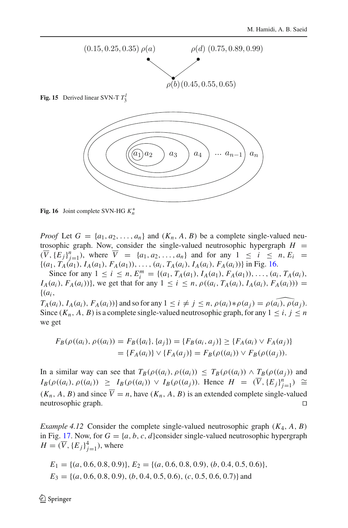

**Fig. 15** Derived linear SVN-T *T<sup>l</sup>* 3

<span id="page-15-0"></span>

<span id="page-15-1"></span>**Fig. 16** Joint complete SVN-HG *K*∗ *n*

*Proof* Let  $G = \{a_1, a_2, \ldots, a_n\}$  and  $(K_n, A, B)$  be a complete single-valued neutrosophic graph. Now, consider the single-valued neutrosophic hypergraph  $H =$  $(\overline{V}, {\{E_j\}}_{j=1}^n)$ , where  $\overline{V} = {a_1, a_2, ..., a_n}$  and for any  $1 \le i \le n, E_i =$  $\{(a_1, T_A(a_1), I_A(a_1), F_A(a_1)), \ldots, (a_i, T_A(a_i), I_A(a_i), F_A(a_i))\}$  in Fig. [16.](#page-15-1)

Since for any  $1 \le i \le n$ ,  $E_i^m = \{(a_1, T_A(a_1), I_A(a_1), F_A(a_1)), \dots, (a_i, T_A(a_i),$ *I<sub>A</sub>*(*a<sub>i</sub>*), *F<sub>A</sub>*(*a<sub>i</sub>*))}, we get that for any  $1 \le i \le n$ ,  $\rho$ ((*a<sub>i</sub>*, *T<sub>A</sub>*(*a<sub>i</sub>*), *I<sub>A</sub>*(*a<sub>i</sub>*), *F<sub>A</sub>*(*a<sub>i</sub>*))) = {(*ai*,

 $T_A(a_i)$ ,  $I_A(a_i)$ ,  $F_A(a_i)$ } and so for any  $1 \leq i \neq j \leq n$ ,  $\rho(a_i) * \rho(a_j) = \rho(\widehat{a_i})$ ,  $\rho(a_j)$ . Since  $(K_n, A, B)$  is a complete single-valued neutrosophic graph, for any  $1 \le i, j \le n$ we get

$$
F_B(\rho((a_i), \rho((a_i)) = F_B(\{a_i\}, \{a_j\}) = \{F_B(a_i, a_j)\} \ge \{F_A(a_i) \vee F_A(a_j)\}
$$
  
=  $\{F_A(a_i)\} \vee \{F_A(a_j)\} = F_B(\rho((a_i)) \vee F_B(\rho((a_j))).$ 

In a similar way can see that  $T_B(\rho((a_i), \rho((a_i))) \leq T_B(\rho((a_i)) \wedge T_B(\rho((a_i)))$  and  $I_B(\rho((a_i), \rho((a_i)) \geq I_B(\rho((a_i)) \vee I_B(\rho((a_j))).$  Hence  $H = (\overline{V}, \{E_j\}_{j=1}^n) \cong$  $(K_n, A, B)$  and since  $\overline{V} = n$ , have  $(K_n, A, B)$  is an extended complete single-valued neutrosophic graph neutrosophic graph.

*Example 4.12* Consider the complete single-valued neutrosophic graph (*K*4, *A*, *B*) in Fig. [17.](#page-16-0) Now, for  $G = \{a, b, c, d\}$ consider single-valued neutrosophic hypergraph  $H = (\overline{V}, \{E_j\}_{j=1}^4)$ , where

$$
E_1 = \{(a, 0.6, 0.8, 0.9)\}, E_2 = \{(a, 0.6, 0.8, 0.9), (b, 0.4, 0.5, 0.6)\},
$$
  

$$
E_3 = \{(a, 0.6, 0.8, 0.9), (b, 0.4, 0.5, 0.6), (c, 0.5, 0.6, 0.7)\}\
$$
and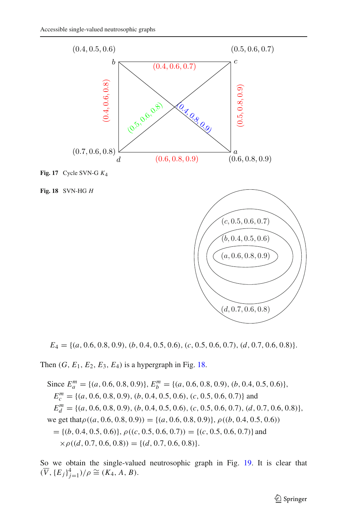

<span id="page-16-0"></span>**Fig. 17** Cycle SVN-G *K*4

<span id="page-16-1"></span>



*E*<sup>4</sup> = {(*a*, 0.6, 0.8, 0.9), (*b*, 0.4, 0.5, 0.6), (*c*, 0.5, 0.6, 0.7), (*d*, 0.7, 0.6, 0.8)}.

Then  $(G, E_1, E_2, E_3, E_4)$  is a hypergraph in Fig. [18.](#page-16-1)

Since  $E_a^m = \{(a, 0.6, 0.8, 0.9)\}, E_b^m = \{(a, 0.6, 0.8, 0.9), (b, 0.4, 0.5, 0.6)\},\$  $E_c^m$  = {(*a*, 0.6, 0.8, 0.9), (*b*, 0.4, 0.5, 0.6), (*c*, 0.5, 0.6, 0.7)} and  $E_d^m$  = {(*a*, 0.6, 0.8, 0.9), (*b*, 0.4, 0.5, 0.6), (*c*, 0.5, 0.6, 0.7), (*d*, 0.7, 0.6, 0.8)}, we get that  $\rho((a, 0.6, 0.8, 0.9)) = \{(a, 0.6, 0.8, 0.9)\}, \rho((b, 0.4, 0.5, 0.6))$  $= \{(b, 0.4, 0.5, 0.6)\}, \rho((c, 0.5, 0.6, 0.7)) = \{(c, 0.5, 0.6, 0.7)\}$  and  $\times \rho((d, 0.7, 0.6, 0.8)) = \{(d, 0.7, 0.6, 0.8)\}.$ 

So we obtain the single-valued neutrosophic graph in Fig. [19.](#page-17-0) It is clear that  $(\overline{V}, {\{E_j\}}_{j=1}^4)/\rho \cong (K_4, A, B).$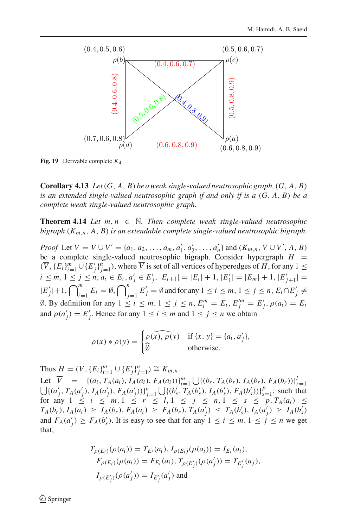

<span id="page-17-0"></span>**Fig. 19** Derivable complete *K*4

**Corollary 4.13** *Let*(*G*, *A*, *B*) *be a weak single-valued neutrosophic graph.*(*G*, *A*, *B*) *is an extended single-valued neutrosophic graph if and only if is a* (*G*, *A*, *B*) *be a complete weak single-valued neutrosophic graph.*

**Theorem 4.14** *Let*  $m, n \in \mathbb{N}$ *. Then complete weak single-valued neutrosophic bigraph* (*Km*,*n*, *A*, *B*) *is an extendable complete single-valued neutrosophic bigraph.*

*Proof* Let  $V = V \cup V' = \{a_1, a_2, ..., a_m, a'_1, a'_2, ..., a'_n\}$  and  $(K_{m,n}, V \cup V', A, B)$ be a complete single-valued neutrosophic bigraph. Consider hypergraph  $H =$  $(\overline{V}, {\{E_i\}}_{i=1}^m \cup {\{E'_j\}}_{j=1}^n)$ , where  $\overline{V}$  is set of all vertices of hyperedges of *H*, for any 1 ≤  $i \leq m, 1 \leq j \leq n, a_i \in E_i, a'_j \in E'_j, |E_{i+1}| = |E_i| + 1, |E'_1| = |E_m| + 1, |E'_{j+1}| =$  $|E'_j|+1, \bigcap_{i=1}^m$  $\sum_{i=1}^{m} E_i = \emptyset, \bigcap_{j=1}^{n}$ *j*=1  $E'_j = \emptyset$  and for any  $1 \le i \le m, 1 \le j \le n, E_i \cap E'_j \ne$ Ø. By definition for any  $1 \le i \le m, 1 \le j \le n, E_i^m = E_i, E_j^m = E_j^j, ρ(a_i) = E_i$ and  $\rho(a'_j) = E'_j$ . Hence for any  $1 \le i \le m$  and  $1 \le j \le n$  we obtain

$$
\rho(x) * \rho(y) = \begin{cases} \rho(\widehat{x}), \rho(y) & \text{if } \{x, y\} = \{a_i, a'_j\}, \\ \widehat{\emptyset} & \text{otherwise.} \end{cases}
$$

Thus  $H = (\overline{V}, \{E_i\}_{i=1}^m \cup \{E'_j\}_{j=1}^n) \cong K_{m,n}$ .

Let  $\overline{V}$  = { $(a_i, T_A(a_i), I_A(a_i), F_A(a_i))$ } $\sum_{i=1}^m \bigcup \{(b_r, T_A(b_r), I_A(b_r), F_A(b_r))\}_{r=1}^l$  $\bigcup \{(a'_j, T_A(a'_j), I_A(a'_j), F_A(a'_j))\}_{j=1}^n \bigcup \{(b'_s, T_A(b'_s), I_A(b'_s), F_A(b'_s))\}_{s=1}^p$ , such that for any  $1 \le i \le m, 1 \le r \le l, 1 \le j \le n, 1 \le s \le p, T_A(a_i) \le$  $T_A(b_r), I_A(a_i) \geq I_A(b_r), F_A(a_i) \geq F_A(b_r), T_A(a'_j) \leq T_A(b'_s), I_A(a'_j) \geq I_A(b'_s)$ and  $F_A(a'_j) \ge F_A(b'_s)$ . It is easy to see that for any  $1 \le i \le m, 1 \le j \le n$  we get that,

$$
T_{\rho(E_i)}(\rho(a_i)) = T_{E_i}(a_i), I_{\rho(E_i)}(\rho(a_i)) = I_{E_i}(a_i),
$$
  
\n
$$
F_{\rho(E_i)}(\rho(a_i)) = F_{E_i}(a_i), T_{\rho(E'_j)}(\rho(a'_j)) = T_{E'_j}(a_j),
$$
  
\n
$$
I_{\rho(E'_j)}(\rho(a'_j)) = I_{E'_j}(a'_j) \text{ and}
$$

 $\textcircled{2}$  Springer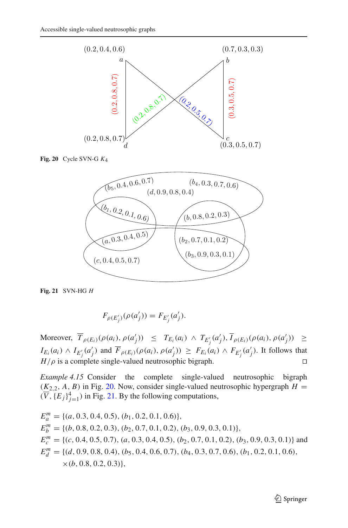

**Fig. 20** Cycle SVN-G *K*4

<span id="page-18-0"></span>

<span id="page-18-1"></span>**Fig. 21** SVN-HG *H*

$$
F_{\rho(E'_{j})}(\rho(a'_{j})) = F_{E'_{j}}(a'_{j}).
$$

 $\text{Moreover, } T_{\rho(E_i)}(\rho(a_i), \rho(a'_j))$  ≤  $T_{E_i}(a_i)$  ∧  $T_{E'_j}(a'_j)$ ,  $I_{\rho(E_i)}(\rho(a_i), \rho(a'_j))$  ≥  $I_{E_i}(a_i) \wedge I_{E'_j}(a'_j)$  and  $F_{\rho(E_i)}(\rho(a_i), \rho(a'_j)) \geq F_{E_i}(a_i) \wedge F_{E'_j}(a'_j)$ . It follows that  $H/\rho$  is a complete single-valued neutrosophic bigraph.

*Example 4.15* Consider the complete single-valued neutrosophic bigraph  $(K_{2,2}, A, B)$  in Fig. [20.](#page-18-0) Now, consider single-valued neutrosophic hypergraph  $H =$  $(\overline{V}, {\{E_j\}}_{j=1}^4)$  in Fig. [21.](#page-18-1) By the following computations,

 $E_a^m$  = {(*a*, 0.3, 0.4, 0.5), (*b*<sub>1</sub>, 0.2, 0.1, 0.6)},  $E_b^m = \{(b, 0.8, 0.2, 0.3), (b_2, 0.7, 0.1, 0.2), (b_3, 0.9, 0.3, 0.1)\},\$  $E_c^m$  = {(*c*, 0.4, 0.5, 0.7), (*a*, 0.3, 0.4, 0.5), (*b*<sub>2</sub>, 0.7, 0.1, 0.2), (*b*<sub>3</sub>, 0.9, 0.3, 0.1)} and  $E_d^m$  = {(*d*, 0.9, 0.8, 0.4), (*b*<sub>5</sub>, 0.4, 0.6, 0.7), (*b*<sub>4</sub>, 0.3, 0.7, 0.6), (*b*<sub>1</sub>, 0.2, 0.1, 0.6),  $\times$ (*b*, 0.8, 0.2, 0.3)},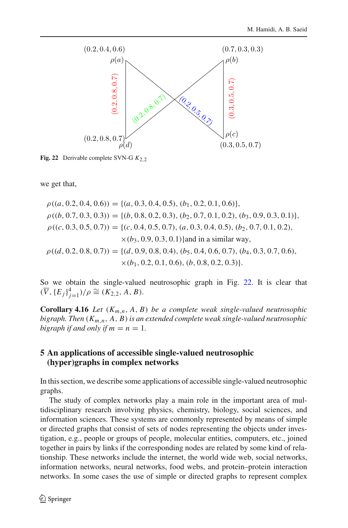

<span id="page-19-0"></span>**Fig. 22** Derivable complete SVN-G  $K_2$  2

we get that,

$$
\rho((a, 0.2, 0.4, 0.6)) = \{(a, 0.3, 0.4, 0.5), (b_1, 0.2, 0.1, 0.6)\},
$$
  
\n
$$
\rho((b, 0.7, 0.3, 0.3)) = \{(b, 0.8, 0.2, 0.3), (b_2, 0.7, 0.1, 0.2), (b_3, 0.9, 0.3, 0.1)\},
$$
  
\n
$$
\rho((c, 0.3, 0.5, 0.7)) = \{(c, 0.4, 0.5, 0.7), (a, 0.3, 0.4, 0.5), (b_2, 0.7, 0.1, 0.2), \times (b_3, 0.9, 0.3, 0.1)\}\nand in a similar way,\n
$$
\rho((d, 0.2, 0.8, 0.7)) = \{(d, 0.9, 0.8, 0.4), (b_5, 0.4, 0.6, 0.7), (b_4, 0.3, 0.7, 0.6), \times (b_1, 0.2, 0.1, 0.6), (b, 0.8, 0.2, 0.3)\}.
$$
$$

So we obtain the single-valued neutrosophic graph in Fig. [22.](#page-19-0) It is clear that  $(\overline{V}, {\{E_j\}}_{j=1}^4)/\rho \cong (K_{2,2}, A, B).$ 

**Corollary 4.16** *Let*  $(K_{m,n}, A, B)$  *be a complete weak single-valued neutrosophic bigraph. Then* (*Km*,*n*, *A*, *B*) *is an extended complete weak single-valued neutrosophic bigraph if and only if*  $m = n = 1$ .

### **5 An applications of accessible single-valued neutrosophic (hyper)graphs in complex networks**

In this section, we describe some applications of accessible single-valued neutrosophic graphs.

The study of complex networks play a main role in the important area of multidisciplinary research involving physics, chemistry, biology, social sciences, and information sciences. These systems are commonly represented by means of simple or directed graphs that consist of sets of nodes representing the objects under investigation, e.g., people or groups of people, molecular entities, computers, etc., joined together in pairs by links if the corresponding nodes are related by some kind of relationship. These networks include the internet, the world wide web, social networks, information networks, neural networks, food webs, and protein–protein interaction networks. In some cases the use of simple or directed graphs to represent complex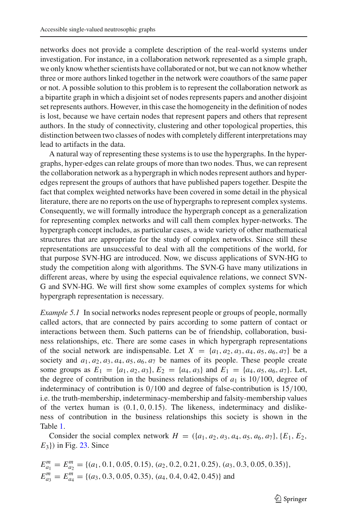networks does not provide a complete description of the real-world systems under investigation. For instance, in a collaboration network represented as a simple graph, we only know whether scientists have collaborated or not, but we can not know whether three or more authors linked together in the network were coauthors of the same paper or not. A possible solution to this problem is to represent the collaboration network as a bipartite graph in which a disjoint set of nodes represents papers and another disjoint set represents authors. However, in this case the homogeneity in the definition of nodes is lost, because we have certain nodes that represent papers and others that represent authors. In the study of connectivity, clustering and other topological properties, this distinction between two classes of nodes with completely different interpretations may lead to artifacts in the data.

A natural way of representing these systems is to use the hypergraphs. In the hypergraphs, hyper-edges can relate groups of more than two nodes. Thus, we can represent the collaboration network as a hypergraph in which nodes represent authors and hyperedges represent the groups of authors that have published papers together. Despite the fact that complex weighted networks have been covered in some detail in the physical literature, there are no reports on the use of hypergraphs to represent complex systems. Consequently, we will formally introduce the hypergraph concept as a generalization for representing complex networks and will call them complex hyper-networks. The hypergraph concept includes, as particular cases, a wide variety of other mathematical structures that are appropriate for the study of complex networks. Since still these representations are unsuccessful to deal with all the competitions of the world, for that purpose SVN-HG are introduced. Now, we discuss applications of SVN-HG to study the competition along with algorithms. The SVN-G have many utilizations in different areas, where by using the especial equivalence relations, we connect SVN-G and SVN-HG. We will first show some examples of complex systems for which hypergraph representation is necessary.

*Example 5.1* In social networks nodes represent people or groups of people, normally called actors, that are connected by pairs according to some pattern of contact or interactions between them. Such patterns can be of friendship, collaboration, business relationships, etc. There are some cases in which hypergraph representations of the social network are indispensable. Let  $X = \{a_1, a_2, a_3, a_4, a_5, a_6, a_7\}$  be a society and  $a_1, a_2, a_3, a_4, a_5, a_6, a_7$  be names of its people. These people create some groups as  $E_1 = \{a_1, a_2, a_3\}, E_2 = \{a_4, a_3\}$  and  $E_1 = \{a_4, a_5, a_6, a_7\}.$  Let, the degree of contribution in the business relationships of  $a_1$  is 10/100, degree of indeterminacy of contribution is 0/100 and degree of false-contribution is 15/100, i.e. the truth-membership, indeterminacy-membership and falsity-membership values of the vertex human is  $(0.1, 0, 0.15)$ . The likeness, indeterminacy and dislikeness of contribution in the business relationships this society is shown in the Table [1.](#page-21-0)

Consider the social complex network  $H = (\{a_1, a_2, a_3, a_4, a_5, a_6, a_7\}, \{E_1, E_2, a_6, a_7\})$ *E*<sub>3</sub>}) in Fig. [23.](#page-21-1) Since

$$
E_{a_1}^m = E_{a_2}^m = \{(a_1, 0.1, 0.05, 0.15), (a_2, 0.2, 0.21, 0.25), (a_3, 0.3, 0.05, 0.35)\},
$$
  
\n
$$
E_{a_3}^m = E_{a_4}^m = \{(a_3, 0.3, 0.05, 0.35), (a_4, 0.4, 0.42, 0.45)\}
$$
 and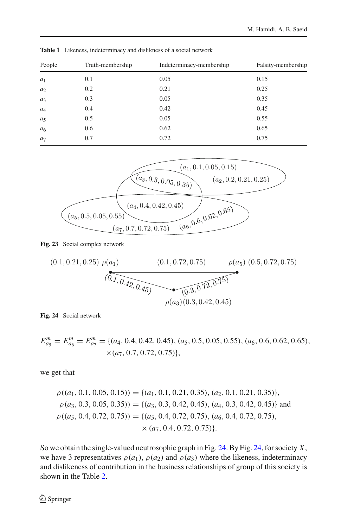| People         | Truth-membership | Indeterminacy-membership | Falsity-membership |  |
|----------------|------------------|--------------------------|--------------------|--|
| $a_1$          | 0.1              | 0.05                     | 0.15               |  |
| $a_2$          | 0.2              | 0.21                     | 0.25               |  |
| $a_3$          | 0.3              | 0.05                     | 0.35               |  |
| $a_4$          | 0.4              | 0.42                     | 0.45               |  |
| a <sub>5</sub> | 0.5              | 0.05                     | 0.55               |  |
| a <sub>6</sub> | 0.6              | 0.62                     | 0.65               |  |
| a <sub>7</sub> | 0.7              | 0.72                     | 0.75               |  |
|                |                  |                          |                    |  |

<span id="page-21-0"></span>**Table 1** Likeness, indeterminacy and dislikness of a social network



#### **Fig. 23** Social complex network

<span id="page-21-1"></span>
$$
(0.1, 0.21, 0.25) \rho(a_1) \qquad (0.1, 0.72, 0.75) \qquad \rho(a_5) (0.5, 0.72, 0.75)
$$
\n
$$
(0.1, 0.42, 0.45) \qquad (0.3, 0.72, 0.75)
$$
\n
$$
\rho(a_3) (0.3, 0.42, 0.45)
$$

<span id="page-21-2"></span>**Fig. 24** Social network

 $E_{a_5}^m = E_{a_6}^m = E_{a_7}^m = \{(a_4, 0.4, 0.42, 0.45), (a_5, 0.5, 0.05, 0.55), (a_6, 0.6, 0.62, 0.65),$  $\times$ (*a*<sub>7</sub>, 0.7, 0.72, 0.75)},

we get that

$$
\rho((a_1, 0.1, 0.05, 0.15)) = \{(a_1, 0.1, 0.21, 0.35), (a_2, 0.1, 0.21, 0.35)\},
$$
  
\n
$$
\rho(a_3, 0.3, 0.05, 0.35)) = \{(a_3, 0.3, 0.42, 0.45), (a_4, 0.3, 0.42, 0.45)\} \text{ and }
$$
  
\n
$$
\rho((a_5, 0.4, 0.72, 0.75)) = \{(a_5, 0.4, 0.72, 0.75), (a_6, 0.4, 0.72, 0.75), (a_7, 0.4, 0.72, 0.75)\}
$$

So we obtain the single-valued neutrosophic graph in Fig. [24.](#page-21-2) By Fig. [24,](#page-21-2) for society *X*, we have 3 representatives  $\rho(a_1)$ ,  $\rho(a_2)$  and  $\rho(a_3)$  where the likeness, indeterminacy and dislikeness of contribution in the business relationships of group of this society is shown in the Table [2.](#page-22-0)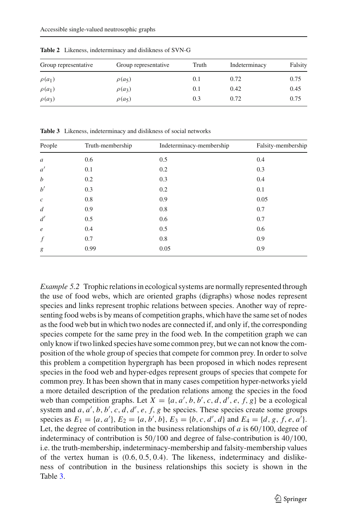| Group representative | Group representative | Truth | Indeterminacy | Falsity |
|----------------------|----------------------|-------|---------------|---------|
| $\rho(a_1)$          | $\rho(a_5)$          | 0.1   | 0.72          | 0.75    |
| $\rho(a_1)$          | $\rho(a_3)$          | 0.1   | 0.42          | 0.45    |
| $\rho(a_3)$          | $\rho(a_5)$          | 0.3   | 0.72          | 0.75    |

<span id="page-22-0"></span>**Table 2** Likeness, indeterminacy and dislikness of SVN-G

<span id="page-22-1"></span>**Table 3** Likeness, indeterminacy and dislikness of social networks

| People           | Truth-membership | Indeterminacy-membership | Falsity-membership |  |
|------------------|------------------|--------------------------|--------------------|--|
| $\boldsymbol{a}$ | 0.6              | 0.5                      | 0.4                |  |
| a'               | 0.1              | 0.2                      | 0.3                |  |
| $\boldsymbol{b}$ | 0.2              | 0.3                      | 0.4                |  |
| $b^{\prime}$     | 0.3              | 0.2                      | 0.1                |  |
| $\boldsymbol{c}$ | 0.8              | 0.9                      | 0.05               |  |
| $\boldsymbol{d}$ | 0.9              | 0.8                      | 0.7                |  |
| d'               | 0.5              | 0.6                      | 0.7                |  |
| $\epsilon$       | 0.4              | 0.5                      | 0.6                |  |
| $\int f$         | 0.7              | 0.8                      | 0.9                |  |
| g                | 0.99             | 0.05                     | 0.9                |  |

*Example 5.2* Trophic relations in ecological systems are normally represented through the use of food webs, which are oriented graphs (digraphs) whose nodes represent species and links represent trophic relations between species. Another way of representing food webs is by means of competition graphs, which have the same set of nodes as the food web but in which two nodes are connected if, and only if, the corresponding species compete for the same prey in the food web. In the competition graph we can only know if two linked species have some common prey, but we can not know the composition of the whole group of species that compete for common prey. In order to solve this problem a competition hypergraph has been proposed in which nodes represent species in the food web and hyper-edges represent groups of species that compete for common prey. It has been shown that in many cases competition hyper-networks yield a more detailed description of the predation relations among the species in the food web than competition graphs. Let  $X = \{a, a', b, b', c, d, d', e, f, g\}$  be a ecological system and *a*, *a'*, *b*, *b'*, *c*, *d*, *d'*, *e*, *f*, *g* be species. These species create some groups species as  $E_1 = \{a, a'\}, E_2 = \{a, b', b\}, E_3 = \{b, c, d', d\}$  and  $E_4 = \{d, g, f, e, a'\}.$ Let, the degree of contribution in the business relationships of *a* is 60/100, degree of indeterminacy of contribution is 50/100 and degree of false-contribution is 40/100, i.e. the truth-membership, indeterminacy-membership and falsity-membership values of the vertex human is (0.6, 0.5, 0.4). The likeness, indeterminacy and dislikeness of contribution in the business relationships this society is shown in the Table [3.](#page-22-1)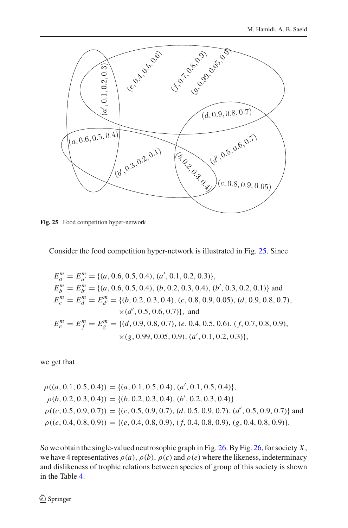

<span id="page-23-0"></span>**Fig. 25** Food competition hyper-network

Consider the food competition hyper-network is illustrated in Fig. [25.](#page-23-0) Since

$$
E_a^m = E_{a'}^m = \{(a, 0.6, 0.5, 0.4), (a', 0.1, 0.2, 0.3)\},
$$
  
\n
$$
E_b^m = E_{b'}^m = \{(a, 0.6, 0.5, 0.4), (b, 0.2, 0.3, 0.4), (b', 0.3, 0.2, 0.1)\}\
$$
and  
\n
$$
E_c^m = E_d^m = E_{d'}^m = \{(b, 0.2, 0.3, 0.4), (c, 0.8, 0.9, 0.05), (d, 0.9, 0.8, 0.7),
$$
  
\n
$$
\times (d', 0.5, 0.6, 0.7)\},
$$
and  
\n
$$
E_e^m = E_f^m = E_g^m = \{(d, 0.9, 0.8, 0.7), (e, 0.4, 0.5, 0.6), (f, 0.7, 0.8, 0.9),
$$
  
\n
$$
\times (g, 0.99, 0.05, 0.9), (a', 0.1, 0.2, 0.3)\},
$$

we get that

$$
\rho((a, 0.1, 0.5, 0.4)) = \{(a, 0.1, 0.5, 0.4), (a', 0.1, 0.5, 0.4)\},
$$
  
\n
$$
\rho(b, 0.2, 0.3, 0.4)) = \{(b, 0.2, 0.3, 0.4), (b', 0.2, 0.3, 0.4)\}
$$
  
\n
$$
\rho((c, 0.5, 0.9, 0.7)) = \{(c, 0.5, 0.9, 0.7), (d, 0.5, 0.9, 0.7), (d', 0.5, 0.9, 0.7)\}
$$
 and  
\n
$$
\rho((e, 0.4, 0.8, 0.9)) = \{(e, 0.4, 0.8, 0.9), (f, 0.4, 0.8, 0.9), (g, 0.4, 0.8, 0.9)\}.
$$

So we obtain the single-valued neutrosophic graph in Fig. [26.](#page-24-0) By Fig. [26,](#page-24-0) for society *X*, we have 4 representatives  $\rho(a)$ ,  $\rho(b)$ ,  $\rho(c)$  and  $\rho(e)$  where the likeness, indeterminacy and dislikeness of trophic relations between species of group of this society is shown in the Table [4.](#page-24-1)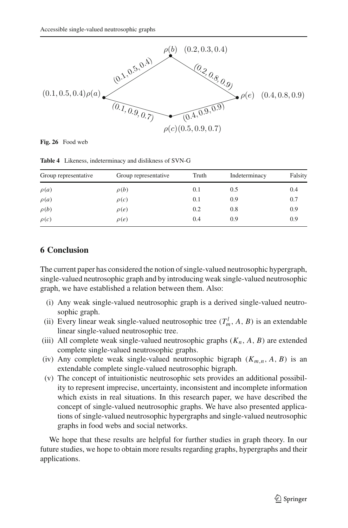

<span id="page-24-0"></span>**Fig. 26** Food web

<span id="page-24-1"></span>

| Group representative | Group representative | Truth | Indeterminacy | Falsity |
|----------------------|----------------------|-------|---------------|---------|
| $\rho(a)$            | $\rho(b)$            | 0.1   | 0.5           | 0.4     |
| $\rho(a)$            | $\rho(c)$            | 0.1   | 0.9           | 0.7     |
| $\rho(b)$            | $\rho(e)$            | 0.2   | 0.8           | 0.9     |
| $\rho(c)$            | $\rho(e)$            | 0.4   | 0.9           | 0.9     |

**Table 4** Likeness, indeterminacy and dislikness of SVN-G

# **6 Conclusion**

The current paper has considered the notion of single-valued neutrosophic hypergraph, single-valued neutrosophic graph and by introducing weak single-valued neutrosophic graph, we have established a relation between them. Also:

- (i) Any weak single-valued neutrosophic graph is a derived single-valued neutrosophic graph.
- (ii) Every linear weak single-valued neutrosophic tree  $(T_m^l, A, B)$  is an extendable linear single-valued neutrosophic tree.
- (iii) All complete weak single-valued neutrosophic graphs  $(K_n, A, B)$  are extended complete single-valued neutrosophic graphs.
- (iv) Any complete weak single-valued neutrosophic bigraph  $(K_{m,n}, A, B)$  is an extendable complete single-valued neutrosophic bigraph.
- (v) The concept of intuitionistic neutrosophic sets provides an additional possibility to represent imprecise, uncertainty, inconsistent and incomplete information which exists in real situations. In this research paper, we have described the concept of single-valued neutrosophic graphs. We have also presented applications of single-valued neutrosophic hypergraphs and single-valued neutrosophic graphs in food webs and social networks.

We hope that these results are helpful for further studies in graph theory. In our future studies, we hope to obtain more results regarding graphs, hypergraphs and their applications.